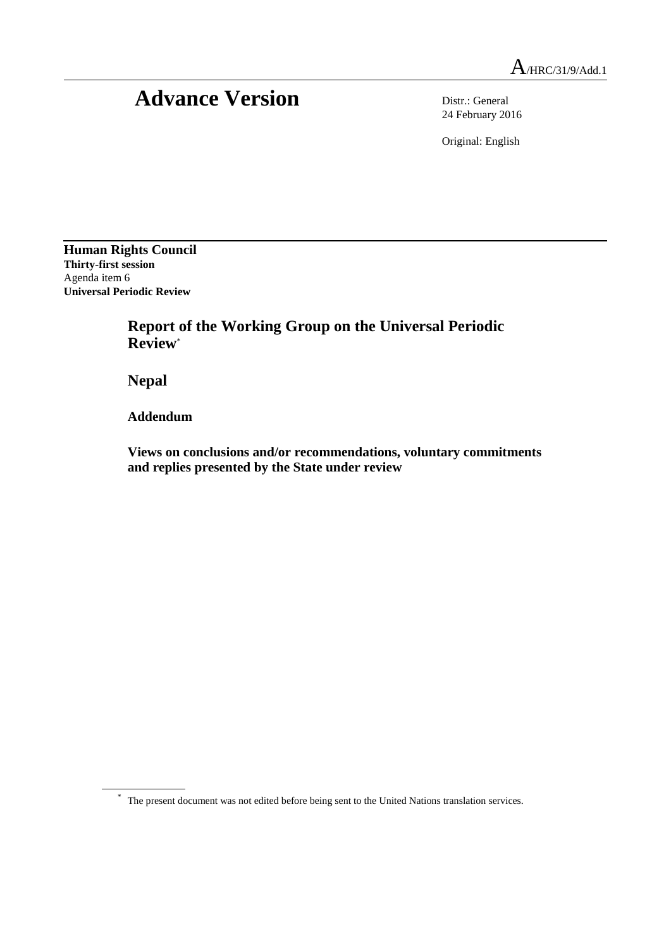# Advance Version Distr.: General

24 February 2016

Original: English

**Human Rights Council Thirty-first session** Agenda item 6 **Universal Periodic Review**

> **Report of the Working Group on the Universal Periodic Review**\*

**Nepal**

**Addendum**

**Views on conclusions and/or recommendations, voluntary commitments and replies presented by the State under review**

\* The present document was not edited before being sent to the United Nations translation services.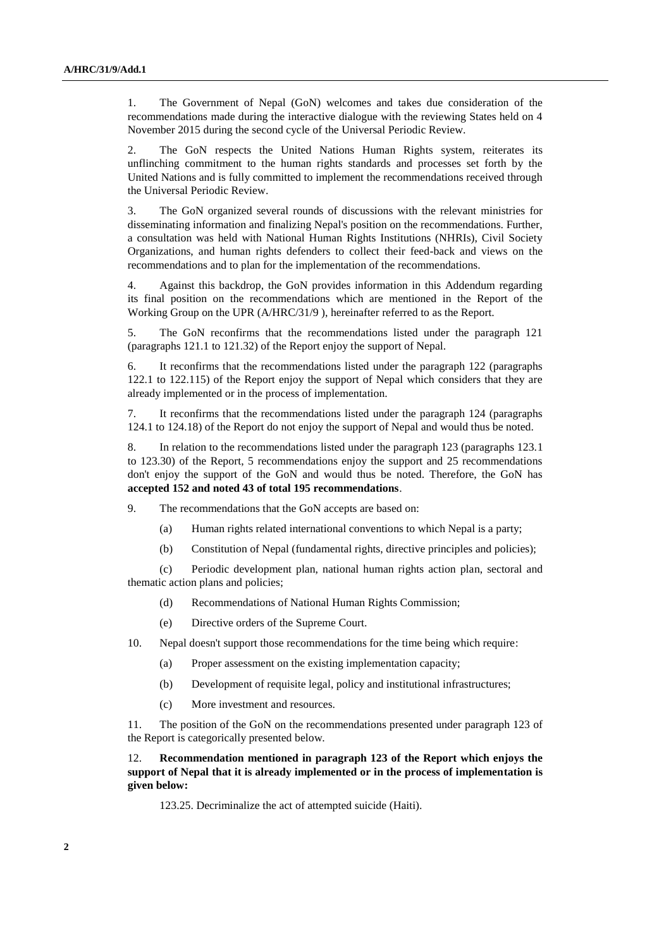1. The Government of Nepal (GoN) welcomes and takes due consideration of the recommendations made during the interactive dialogue with the reviewing States held on 4 November 2015 during the second cycle of the Universal Periodic Review.

2. The GoN respects the United Nations Human Rights system, reiterates its unflinching commitment to the human rights standards and processes set forth by the United Nations and is fully committed to implement the recommendations received through the Universal Periodic Review.

3. The GoN organized several rounds of discussions with the relevant ministries for disseminating information and finalizing Nepal's position on the recommendations. Further, a consultation was held with National Human Rights Institutions (NHRIs), Civil Society Organizations, and human rights defenders to collect their feed-back and views on the recommendations and to plan for the implementation of the recommendations.

4. Against this backdrop, the GoN provides information in this Addendum regarding its final position on the recommendations which are mentioned in the Report of the Working Group on the UPR (A/HRC/31/9 ), hereinafter referred to as the Report.

5. The GoN reconfirms that the recommendations listed under the paragraph 121 (paragraphs 121.1 to 121.32) of the Report enjoy the support of Nepal.

6. It reconfirms that the recommendations listed under the paragraph 122 (paragraphs 122.1 to 122.115) of the Report enjoy the support of Nepal which considers that they are already implemented or in the process of implementation.

7. It reconfirms that the recommendations listed under the paragraph 124 (paragraphs 124.1 to 124.18) of the Report do not enjoy the support of Nepal and would thus be noted.

8. In relation to the recommendations listed under the paragraph 123 (paragraphs 123.1 to 123.30) of the Report, 5 recommendations enjoy the support and 25 recommendations don't enjoy the support of the GoN and would thus be noted. Therefore, the GoN has **accepted 152 and noted 43 of total 195 recommendations**.

9. The recommendations that the GoN accepts are based on:

- (a) Human rights related international conventions to which Nepal is a party;
- (b) Constitution of Nepal (fundamental rights, directive principles and policies);

(c) Periodic development plan, national human rights action plan, sectoral and thematic action plans and policies;

- (d) Recommendations of National Human Rights Commission;
- (e) Directive orders of the Supreme Court.

10. Nepal doesn't support those recommendations for the time being which require:

- (a) Proper assessment on the existing implementation capacity;
- (b) Development of requisite legal, policy and institutional infrastructures;
- (c) More investment and resources.

11. The position of the GoN on the recommendations presented under paragraph 123 of the Report is categorically presented below.

12. **Recommendation mentioned in paragraph 123 of the Report which enjoys the support of Nepal that it is already implemented or in the process of implementation is given below:**

123.25. Decriminalize the act of attempted suicide (Haiti).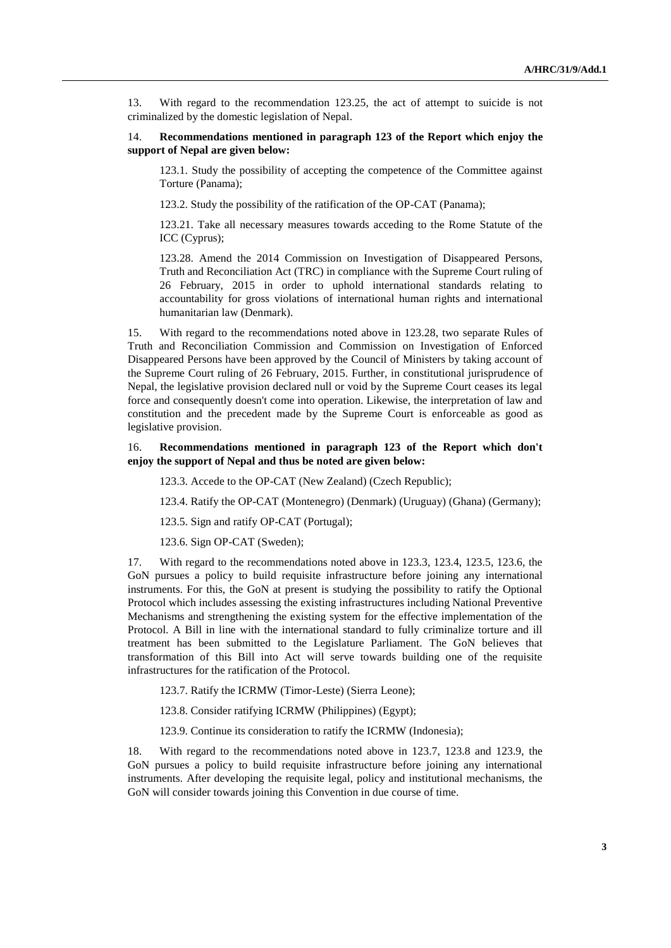13. With regard to the recommendation 123.25, the act of attempt to suicide is not criminalized by the domestic legislation of Nepal.

#### 14. **Recommendations mentioned in paragraph 123 of the Report which enjoy the support of Nepal are given below:**

123.1. Study the possibility of accepting the competence of the Committee against Torture (Panama);

123.2. Study the possibility of the ratification of the OP-CAT (Panama);

123.21. Take all necessary measures towards acceding to the Rome Statute of the ICC (Cyprus);

123.28. Amend the 2014 Commission on Investigation of Disappeared Persons, Truth and Reconciliation Act (TRC) in compliance with the Supreme Court ruling of 26 February, 2015 in order to uphold international standards relating to accountability for gross violations of international human rights and international humanitarian law (Denmark).

15. With regard to the recommendations noted above in 123.28, two separate Rules of Truth and Reconciliation Commission and Commission on Investigation of Enforced Disappeared Persons have been approved by the Council of Ministers by taking account of the Supreme Court ruling of 26 February, 2015. Further, in constitutional jurisprudence of Nepal, the legislative provision declared null or void by the Supreme Court ceases its legal force and consequently doesn't come into operation. Likewise, the interpretation of law and constitution and the precedent made by the Supreme Court is enforceable as good as legislative provision.

#### 16. **Recommendations mentioned in paragraph 123 of the Report which don't enjoy the support of Nepal and thus be noted are given below:**

123.3. Accede to the OP-CAT (New Zealand) (Czech Republic);

123.4. Ratify the OP-CAT (Montenegro) (Denmark) (Uruguay) (Ghana) (Germany);

123.5. Sign and ratify OP-CAT (Portugal);

123.6. Sign OP-CAT (Sweden);

17. With regard to the recommendations noted above in 123.3, 123.4, 123.5, 123.6, the GoN pursues a policy to build requisite infrastructure before joining any international instruments. For this, the GoN at present is studying the possibility to ratify the Optional Protocol which includes assessing the existing infrastructures including National Preventive Mechanisms and strengthening the existing system for the effective implementation of the Protocol. A Bill in line with the international standard to fully criminalize torture and ill treatment has been submitted to the Legislature Parliament. The GoN believes that transformation of this Bill into Act will serve towards building one of the requisite infrastructures for the ratification of the Protocol.

123.7. Ratify the ICRMW (Timor-Leste) (Sierra Leone);

123.8. Consider ratifying ICRMW (Philippines) (Egypt);

123.9. Continue its consideration to ratify the ICRMW (Indonesia);

18. With regard to the recommendations noted above in 123.7, 123.8 and 123.9, the GoN pursues a policy to build requisite infrastructure before joining any international instruments. After developing the requisite legal, policy and institutional mechanisms, the GoN will consider towards joining this Convention in due course of time.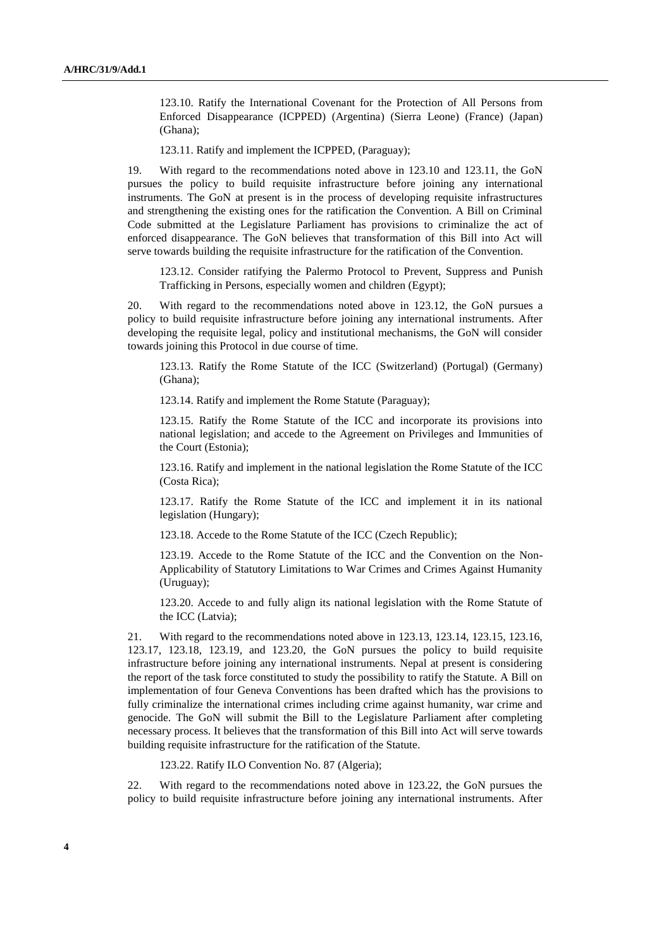123.10. Ratify the International Covenant for the Protection of All Persons from Enforced Disappearance (ICPPED) (Argentina) (Sierra Leone) (France) (Japan) (Ghana);

123.11. Ratify and implement the ICPPED, (Paraguay);

19. With regard to the recommendations noted above in 123.10 and 123.11, the GoN pursues the policy to build requisite infrastructure before joining any international instruments. The GoN at present is in the process of developing requisite infrastructures and strengthening the existing ones for the ratification the Convention. A Bill on Criminal Code submitted at the Legislature Parliament has provisions to criminalize the act of enforced disappearance. The GoN believes that transformation of this Bill into Act will serve towards building the requisite infrastructure for the ratification of the Convention.

123.12. Consider ratifying the Palermo Protocol to Prevent, Suppress and Punish Trafficking in Persons, especially women and children (Egypt);

20. With regard to the recommendations noted above in 123.12, the GoN pursues a policy to build requisite infrastructure before joining any international instruments. After developing the requisite legal, policy and institutional mechanisms, the GoN will consider towards joining this Protocol in due course of time.

123.13. Ratify the Rome Statute of the ICC (Switzerland) (Portugal) (Germany) (Ghana);

123.14. Ratify and implement the Rome Statute (Paraguay);

123.15. Ratify the Rome Statute of the ICC and incorporate its provisions into national legislation; and accede to the Agreement on Privileges and Immunities of the Court (Estonia);

123.16. Ratify and implement in the national legislation the Rome Statute of the ICC (Costa Rica);

123.17. Ratify the Rome Statute of the ICC and implement it in its national legislation (Hungary);

123.18. Accede to the Rome Statute of the ICC (Czech Republic);

123.19. Accede to the Rome Statute of the ICC and the Convention on the Non-Applicability of Statutory Limitations to War Crimes and Crimes Against Humanity (Uruguay);

123.20. Accede to and fully align its national legislation with the Rome Statute of the ICC (Latvia);

21. With regard to the recommendations noted above in 123.13, 123.14, 123.15, 123.16, 123.17, 123.18, 123.19, and 123.20, the GoN pursues the policy to build requisite infrastructure before joining any international instruments. Nepal at present is considering the report of the task force constituted to study the possibility to ratify the Statute. A Bill on implementation of four Geneva Conventions has been drafted which has the provisions to fully criminalize the international crimes including crime against humanity, war crime and genocide. The GoN will submit the Bill to the Legislature Parliament after completing necessary process. It believes that the transformation of this Bill into Act will serve towards building requisite infrastructure for the ratification of the Statute.

123.22. Ratify ILO Convention No. 87 (Algeria);

22. With regard to the recommendations noted above in 123.22, the GoN pursues the policy to build requisite infrastructure before joining any international instruments. After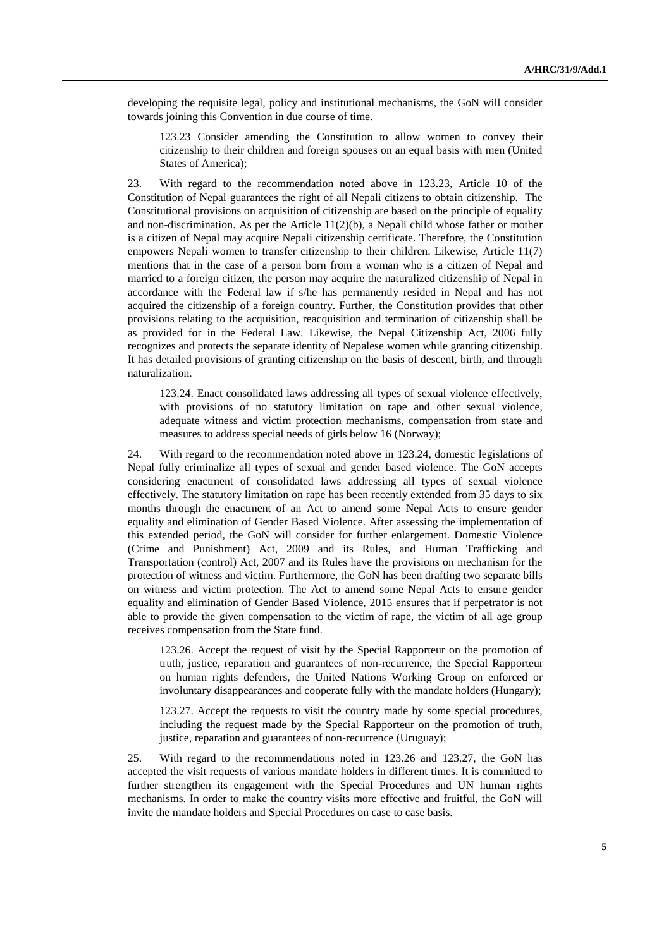developing the requisite legal, policy and institutional mechanisms, the GoN will consider towards joining this Convention in due course of time.

123.23 Consider amending the Constitution to allow women to convey their citizenship to their children and foreign spouses on an equal basis with men (United States of America);

23. With regard to the recommendation noted above in 123.23, Article 10 of the Constitution of Nepal guarantees the right of all Nepali citizens to obtain citizenship. The Constitutional provisions on acquisition of citizenship are based on the principle of equality and non-discrimination. As per the Article  $11(2)(b)$ , a Nepali child whose father or mother is a citizen of Nepal may acquire Nepali citizenship certificate. Therefore, the Constitution empowers Nepali women to transfer citizenship to their children. Likewise, Article 11(7) mentions that in the case of a person born from a woman who is a citizen of Nepal and married to a foreign citizen, the person may acquire the naturalized citizenship of Nepal in accordance with the Federal law if s/he has permanently resided in Nepal and has not acquired the citizenship of a foreign country. Further, the Constitution provides that other provisions relating to the acquisition, reacquisition and termination of citizenship shall be as provided for in the Federal Law. Likewise, the Nepal Citizenship Act, 2006 fully recognizes and protects the separate identity of Nepalese women while granting citizenship. It has detailed provisions of granting citizenship on the basis of descent, birth, and through naturalization.

123.24. Enact consolidated laws addressing all types of sexual violence effectively, with provisions of no statutory limitation on rape and other sexual violence, adequate witness and victim protection mechanisms, compensation from state and measures to address special needs of girls below 16 (Norway);

24. With regard to the recommendation noted above in 123.24, domestic legislations of Nepal fully criminalize all types of sexual and gender based violence. The GoN accepts considering enactment of consolidated laws addressing all types of sexual violence effectively. The statutory limitation on rape has been recently extended from 35 days to six months through the enactment of an Act to amend some Nepal Acts to ensure gender equality and elimination of Gender Based Violence. After assessing the implementation of this extended period, the GoN will consider for further enlargement. Domestic Violence (Crime and Punishment) Act, 2009 and its Rules, and Human Trafficking and Transportation (control) Act, 2007 and its Rules have the provisions on mechanism for the protection of witness and victim. Furthermore, the GoN has been drafting two separate bills on witness and victim protection. The Act to amend some Nepal Acts to ensure gender equality and elimination of Gender Based Violence, 2015 ensures that if perpetrator is not able to provide the given compensation to the victim of rape, the victim of all age group receives compensation from the State fund.

123.26. Accept the request of visit by the Special Rapporteur on the promotion of truth, justice, reparation and guarantees of non-recurrence, the Special Rapporteur on human rights defenders, the United Nations Working Group on enforced or involuntary disappearances and cooperate fully with the mandate holders (Hungary);

123.27. Accept the requests to visit the country made by some special procedures, including the request made by the Special Rapporteur on the promotion of truth, justice, reparation and guarantees of non-recurrence (Uruguay);

25. With regard to the recommendations noted in 123.26 and 123.27, the GoN has accepted the visit requests of various mandate holders in different times. It is committed to further strengthen its engagement with the Special Procedures and UN human rights mechanisms. In order to make the country visits more effective and fruitful, the GoN will invite the mandate holders and Special Procedures on case to case basis.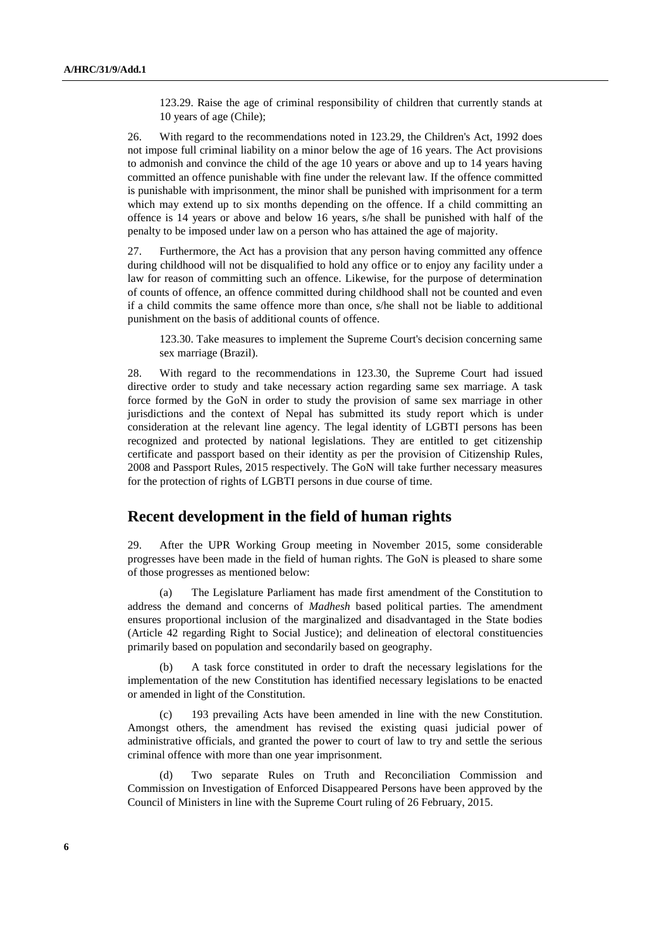123.29. Raise the age of criminal responsibility of children that currently stands at 10 years of age (Chile);

26. With regard to the recommendations noted in 123.29, the Children's Act, 1992 does not impose full criminal liability on a minor below the age of 16 years. The Act provisions to admonish and convince the child of the age 10 years or above and up to 14 years having committed an offence punishable with fine under the relevant law. If the offence committed is punishable with imprisonment, the minor shall be punished with imprisonment for a term which may extend up to six months depending on the offence. If a child committing an offence is 14 years or above and below 16 years, s/he shall be punished with half of the penalty to be imposed under law on a person who has attained the age of majority.

27. Furthermore, the Act has a provision that any person having committed any offence during childhood will not be disqualified to hold any office or to enjoy any facility under a law for reason of committing such an offence. Likewise, for the purpose of determination of counts of offence, an offence committed during childhood shall not be counted and even if a child commits the same offence more than once, s/he shall not be liable to additional punishment on the basis of additional counts of offence.

123.30. Take measures to implement the Supreme Court's decision concerning same sex marriage (Brazil).

28. With regard to the recommendations in 123.30, the Supreme Court had issued directive order to study and take necessary action regarding same sex marriage. A task force formed by the GoN in order to study the provision of same sex marriage in other jurisdictions and the context of Nepal has submitted its study report which is under consideration at the relevant line agency. The legal identity of LGBTI persons has been recognized and protected by national legislations. They are entitled to get citizenship certificate and passport based on their identity as per the provision of Citizenship Rules, 2008 and Passport Rules, 2015 respectively. The GoN will take further necessary measures for the protection of rights of LGBTI persons in due course of time.

### **Recent development in the field of human rights**

29. After the UPR Working Group meeting in November 2015, some considerable progresses have been made in the field of human rights. The GoN is pleased to share some of those progresses as mentioned below:

(a) The Legislature Parliament has made first amendment of the Constitution to address the demand and concerns of *Madhesh* based political parties. The amendment ensures proportional inclusion of the marginalized and disadvantaged in the State bodies (Article 42 regarding Right to Social Justice); and delineation of electoral constituencies primarily based on population and secondarily based on geography.

(b) A task force constituted in order to draft the necessary legislations for the implementation of the new Constitution has identified necessary legislations to be enacted or amended in light of the Constitution.

(c) 193 prevailing Acts have been amended in line with the new Constitution. Amongst others, the amendment has revised the existing quasi judicial power of administrative officials, and granted the power to court of law to try and settle the serious criminal offence with more than one year imprisonment.

(d) Two separate Rules on Truth and Reconciliation Commission and Commission on Investigation of Enforced Disappeared Persons have been approved by the Council of Ministers in line with the Supreme Court ruling of 26 February, 2015.